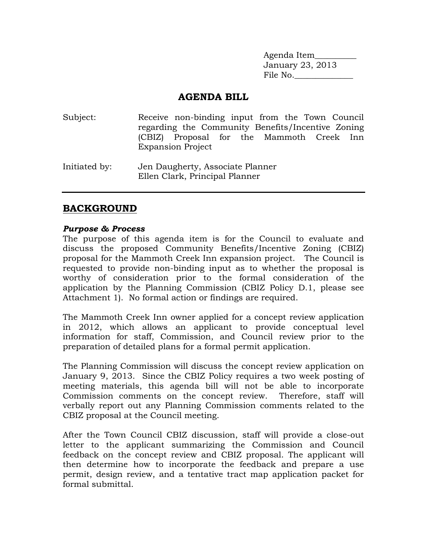Agenda Item\_\_\_\_\_\_\_\_\_\_ January 23, 2013 File No.\_\_\_\_\_\_\_\_\_\_\_\_\_\_

#### **AGENDA BILL**

Subject: Receive non-binding input from the Town Council regarding the Community Benefits/Incentive Zoning (CBIZ) Proposal for the Mammoth Creek Inn Expansion Project Initiated by: Jen Daugherty, Associate Planner Ellen Clark, Principal Planner

#### **BACKGROUND**

#### *Purpose & Process*

The purpose of this agenda item is for the Council to evaluate and discuss the proposed Community Benefits/Incentive Zoning (CBIZ) proposal for the Mammoth Creek Inn expansion project. The Council is requested to provide non-binding input as to whether the proposal is worthy of consideration prior to the formal consideration of the application by the Planning Commission (CBIZ Policy D.1, please see Attachment 1). No formal action or findings are required.

The Mammoth Creek Inn owner applied for a concept review application in 2012, which allows an applicant to provide conceptual level information for staff, Commission, and Council review prior to the preparation of detailed plans for a formal permit application.

The Planning Commission will discuss the concept review application on January 9, 2013. Since the CBIZ Policy requires a two week posting of meeting materials, this agenda bill will not be able to incorporate Commission comments on the concept review. Therefore, staff will verbally report out any Planning Commission comments related to the CBIZ proposal at the Council meeting.

After the Town Council CBIZ discussion, staff will provide a close-out letter to the applicant summarizing the Commission and Council feedback on the concept review and CBIZ proposal. The applicant will then determine how to incorporate the feedback and prepare a use permit, design review, and a tentative tract map application packet for formal submittal.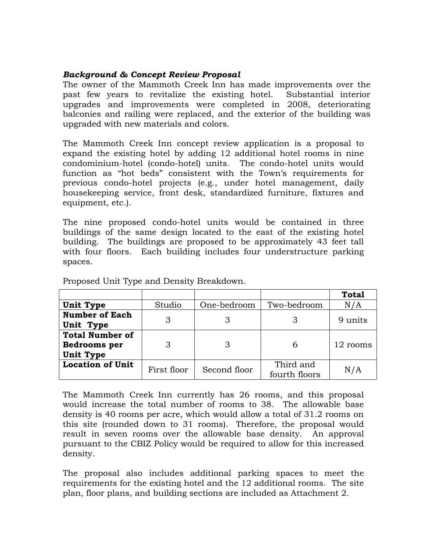#### *Background & Concept Review Proposal*

The owner of the Mammoth Creek Inn has made improvements over the past few years to revitalize the existing hotel. Substantial interior upgrades and improvements were completed in 2008, deteriorating balconies and railing were replaced, and the exterior of the building was upgraded with new materials and colors.

The Mammoth Creek Inn concept review application is a proposal to expand the existing hotel by adding 12 additional hotel rooms in nine condominium-hotel (condo-hotel) units. The condo-hotel units would function as "hot beds" consistent with the Town's requirements for previous condo-hotel projects (e.g., under hotel management, daily housekeeping service, front desk, standardized furniture, fixtures and equipment, etc.).

The nine proposed condo-hotel units would be contained in three buildings of the same design located to the east of the existing hotel building. The buildings are proposed to be approximately 43 feet tall with four floors. Each building includes four understructure parking spaces.

|                                                                   |             |              |                            | <b>Total</b> |
|-------------------------------------------------------------------|-------------|--------------|----------------------------|--------------|
| <b>Unit Type</b>                                                  | Studio      | One-bedroom  | Two-bedroom                | N/A          |
| <b>Number of Each</b><br>Unit Type                                | З           |              |                            | 9 units      |
| <b>Total Number of</b><br><b>Bedrooms</b> per<br><b>Unit Type</b> |             |              | 6                          | 12 rooms     |
| <b>Location of Unit</b>                                           | First floor | Second floor | Third and<br>fourth floors | N/A          |

Proposed Unit Type and Density Breakdown.

The Mammoth Creek Inn currently has 26 rooms, and this proposal would increase the total number of rooms to 38. The allowable base density is 40 rooms per acre, which would allow a total of 31.2 rooms on this site (rounded down to 31 rooms). Therefore, the proposal would result in seven rooms over the allowable base density. An approval pursuant to the CBIZ Policy would be required to allow for this increased density.

The proposal also includes additional parking spaces to meet the requirements for the existing hotel and the 12 additional rooms. The site plan, floor plans, and building sections are included as Attachment 2.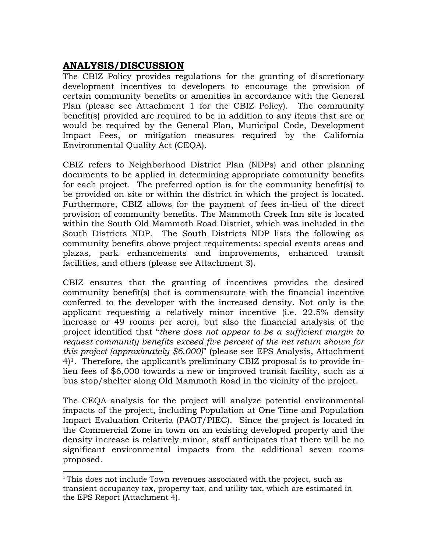# **ANALYSIS/DISCUSSION**

 $\overline{a}$ 

The CBIZ Policy provides regulations for the granting of discretionary development incentives to developers to encourage the provision of certain community benefits or amenities in accordance with the General Plan (please see Attachment 1 for the CBIZ Policy). The community benefit(s) provided are required to be in addition to any items that are or would be required by the General Plan, Municipal Code, Development Impact Fees, or mitigation measures required by the California Environmental Quality Act (CEQA).

CBIZ refers to Neighborhood District Plan (NDPs) and other planning documents to be applied in determining appropriate community benefits for each project. The preferred option is for the community benefit(s) to be provided on site or within the district in which the project is located. Furthermore, CBIZ allows for the payment of fees in-lieu of the direct provision of community benefits. The Mammoth Creek Inn site is located within the South Old Mammoth Road District, which was included in the South Districts NDP. The South Districts NDP lists the following as community benefits above project requirements: special events areas and plazas, park enhancements and improvements, enhanced transit facilities, and others (please see Attachment 3).

CBIZ ensures that the granting of incentives provides the desired community benefit(s) that is commensurate with the financial incentive conferred to the developer with the increased density. Not only is the applicant requesting a relatively minor incentive (i.e. 22.5% density increase or 49 rooms per acre), but also the financial analysis of the project identified that "*there does not appear to be a sufficient margin to request community benefits exceed five percent of the net return shown for this project (approximately \$6,000)*" (please see EPS Analysis, Attachment 4)1. Therefore, the applicant's preliminary CBIZ proposal is to provide inlieu fees of \$6,000 towards a new or improved transit facility, such as a bus stop/shelter along Old Mammoth Road in the vicinity of the project.

The CEQA analysis for the project will analyze potential environmental impacts of the project, including Population at One Time and Population Impact Evaluation Criteria (PAOT/PIEC). Since the project is located in the Commercial Zone in town on an existing developed property and the density increase is relatively minor, staff anticipates that there will be no significant environmental impacts from the additional seven rooms proposed.

 $1$  This does not include Town revenues associated with the project, such as transient occupancy tax, property tax, and utility tax, which are estimated in the EPS Report (Attachment 4).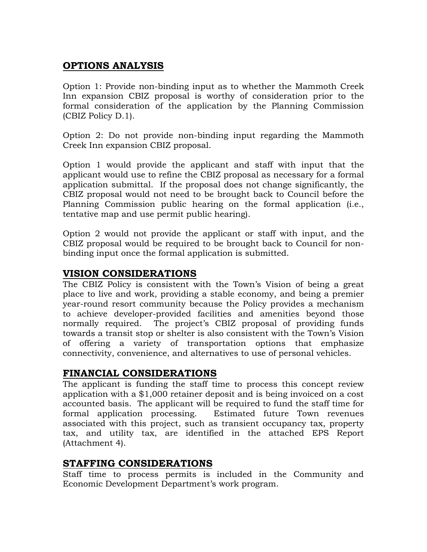## **OPTIONS ANALYSIS**

Option 1: Provide non-binding input as to whether the Mammoth Creek Inn expansion CBIZ proposal is worthy of consideration prior to the formal consideration of the application by the Planning Commission (CBIZ Policy D.1).

Option 2: Do not provide non-binding input regarding the Mammoth Creek Inn expansion CBIZ proposal.

Option 1 would provide the applicant and staff with input that the applicant would use to refine the CBIZ proposal as necessary for a formal application submittal. If the proposal does not change significantly, the CBIZ proposal would not need to be brought back to Council before the Planning Commission public hearing on the formal application (i.e., tentative map and use permit public hearing).

Option 2 would not provide the applicant or staff with input, and the CBIZ proposal would be required to be brought back to Council for nonbinding input once the formal application is submitted.

## **VISION CONSIDERATIONS**

The CBIZ Policy is consistent with the Town's Vision of being a great place to live and work, providing a stable economy, and being a premier year-round resort community because the Policy provides a mechanism to achieve developer-provided facilities and amenities beyond those normally required. The project's CBIZ proposal of providing funds towards a transit stop or shelter is also consistent with the Town's Vision of offering a variety of transportation options that emphasize connectivity, convenience, and alternatives to use of personal vehicles.

### **FINANCIAL CONSIDERATIONS**

The applicant is funding the staff time to process this concept review application with a \$1,000 retainer deposit and is being invoiced on a cost accounted basis. The applicant will be required to fund the staff time for formal application processing. Estimated future Town revenues associated with this project, such as transient occupancy tax, property tax, and utility tax, are identified in the attached EPS Report (Attachment 4).

### **STAFFING CONSIDERATIONS**

Staff time to process permits is included in the Community and Economic Development Department's work program.